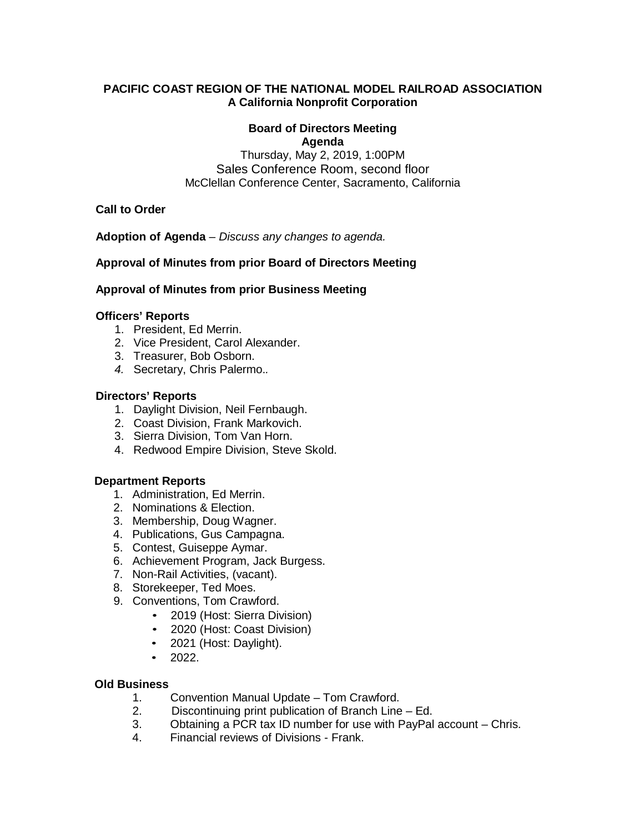# **PACIFIC COAST REGION OF THE NATIONAL MODEL RAILROAD ASSOCIATION A California Nonprofit Corporation**

#### **Board of Directors Meeting Agenda**

Thursday, May 2, 2019, 1:00PM Sales Conference Room, second floor McClellan Conference Center, Sacramento, California

**Call to Order**

**Adoption of Agenda** – *Discuss any changes to agenda.*

# **Approval of Minutes from prior Board of Directors Meeting**

#### **Approval of Minutes from prior Business Meeting**

#### **Officers' Reports**

- 1. President, Ed Merrin.
- 2. Vice President, Carol Alexander.
- 3. Treasurer, Bob Osborn.
- *4.* Secretary, Chris Palermo.*.*

#### **Directors' Reports**

- 1. Daylight Division, Neil Fernbaugh.
- 2. Coast Division, Frank Markovich.
- 3. Sierra Division, Tom Van Horn.
- 4. Redwood Empire Division, Steve Skold.

# **Department Reports**

- 1. Administration, Ed Merrin.
- 2. Nominations & Election.
- 3. Membership, Doug Wagner.
- 4. Publications, Gus Campagna.
- 5. Contest, Guiseppe Aymar.
- 6. Achievement Program, Jack Burgess.
- 7. Non-Rail Activities, (vacant).
- 8. Storekeeper, Ted Moes.
- 9. Conventions, Tom Crawford.
	- 2019 (Host: Sierra Division)
	- 2020 (Host: Coast Division)
	- 2021 (Host: Daylight).
	- $\bullet$  2022.

#### **Old Business**

- 1. Convention Manual Update Tom Crawford.
- 2. Discontinuing print publication of Branch Line Ed.
- 3. Obtaining a PCR tax ID number for use with PayPal account Chris.<br>4. Einancial reviews of Divisions Frank.
- 4. Financial reviews of Divisions Frank.